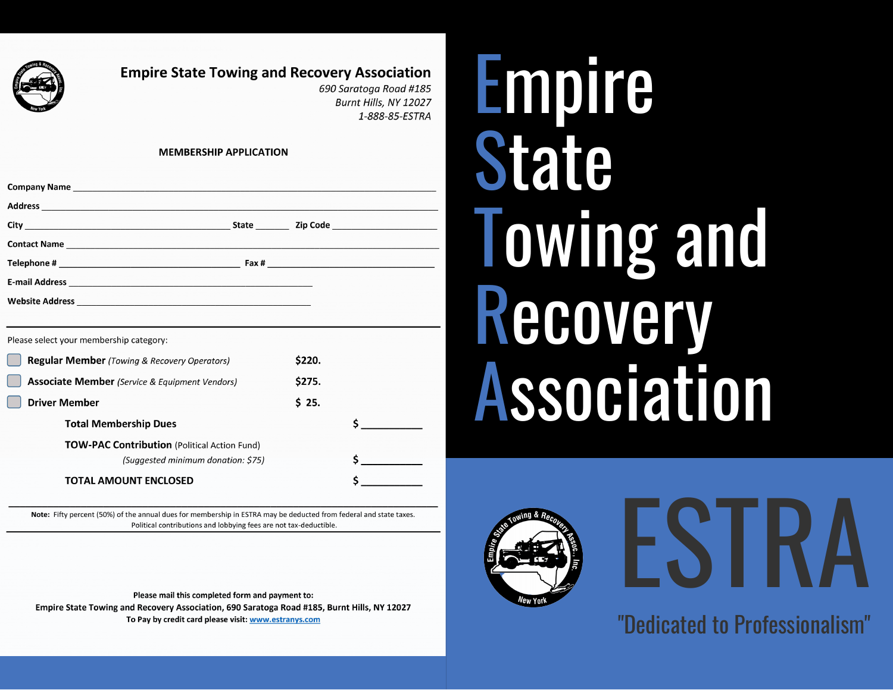

## **Empire State Towing and Recovery Association**

690 Saratoga Road #185 Burnt Hills, NY 12027 1-888-85-ESTRA

#### **MEMBERSHIP APPLICATION**

| <b>Contact Name <i>Contact Name Contact Name</i></b>  |        |  |
|-------------------------------------------------------|--------|--|
|                                                       |        |  |
|                                                       |        |  |
|                                                       |        |  |
|                                                       |        |  |
| Please select your membership category:               |        |  |
| <b>Regular Member</b> (Towing & Recovery Operators)   | \$220. |  |
| <b>Associate Member</b> (Service & Equipment Vendors) | \$275. |  |
| Driver Member                                         | \$25.  |  |

| <b>TOW-PAC Contribution</b> (Political Action Fund) |  |
|-----------------------------------------------------|--|
| (Suggested minimum donation: \$75)                  |  |

### **TOTAL AMOUNT ENCLOSED**

**Total Membership Dues** 

Note: Fifty percent (50%) of the annual dues for membership in ESTRA may be deducted from federal and state taxes. Political contributions and lobbying fees are not tax-deductible.

Please mail this completed form and payment to: Empire State Towing and Recovery Association, 690 Saratoga Road #185, Burnt Hills, NY 12027 To Pay by credit card please visit: www.estranys.com

# Empire State Towing and Recovery Association



# ESTRA

"Dedicated to Professionalism"